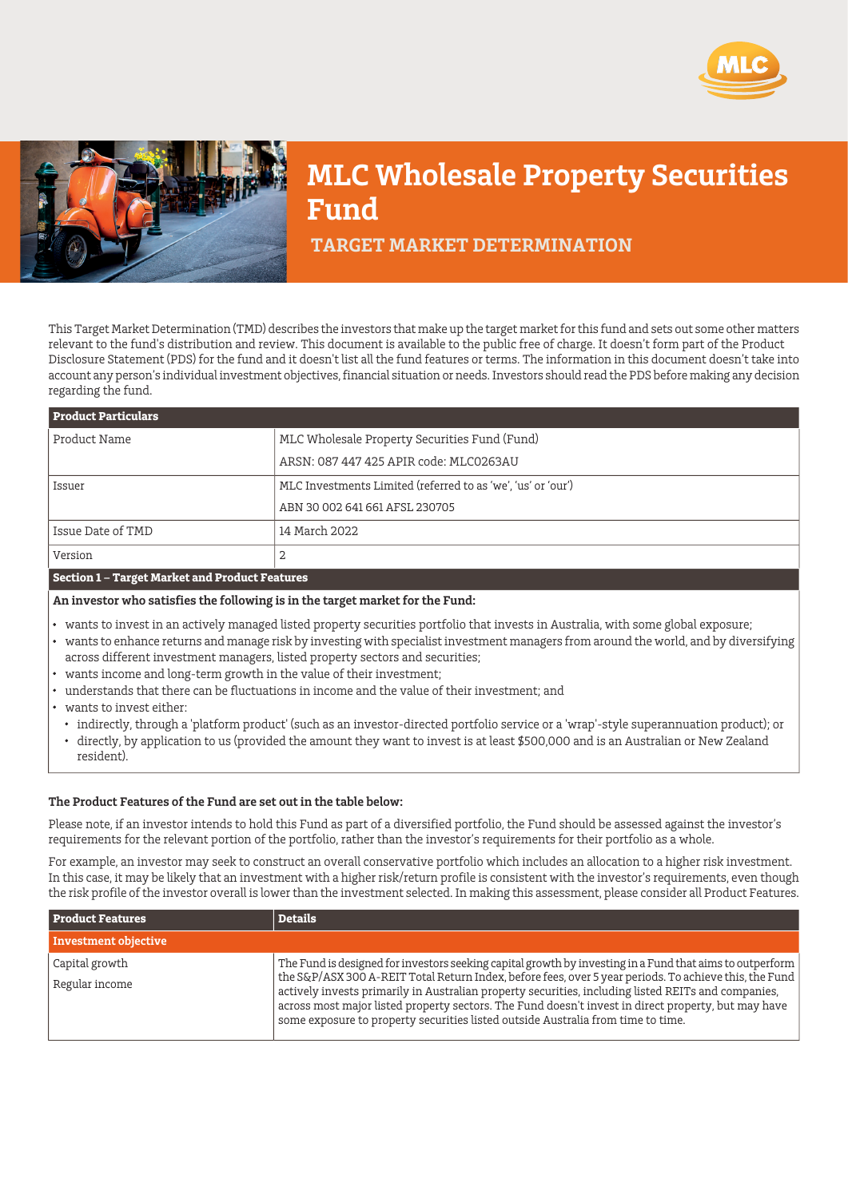



# **MLC Wholesale Property Securities Fund**

 **TARGET MARKET DETERMINATION**

This Target Market Determination (TMD) describes the investors that make up the target market for this fund and sets out some other matters relevant to the fund's distribution and review. This document is available to the public free of charge. It doesn't form part of the Product Disclosure Statement (PDS) for the fund and it doesn't list all the fund features or terms. The information in this document doesn't take into account any person's individual investment objectives, financial situation or needs. Investors should read the PDS before making any decision regarding the fund.

| <b>Product Particulars</b> |                                                              |  |
|----------------------------|--------------------------------------------------------------|--|
| Product Name               | MLC Wholesale Property Securities Fund (Fund)                |  |
|                            | ARSN: 087 447 425 APIR code: MLC0263AU                       |  |
| Issuer                     | MLC Investments Limited (referred to as 'we', 'us' or 'our') |  |
|                            | ABN 30 002 641 661 AFSL 230705                               |  |
| Issue Date of TMD          | 14 March 2022                                                |  |
| Version                    | 2                                                            |  |
|                            |                                                              |  |

### **Section 1 – Target Market and Product Features**

**An investor who satisfies the following is in the target market for the Fund:**

- wants to invest in an actively managed listed property securities portfolio that invests in Australia, with some global exposure;
- wants to enhance returns and manage risk by investing with specialist investment managers from around the world, and by diversifying across different investment managers, listed property sectors and securities;
- wants income and long-term growth in the value of their investment;
- understands that there can be fluctuations in income and the value of their investment; and
- wants to invest either:
	- indirectly, through a 'platform product' (such as an investor-directed portfolio service or a 'wrap'-style superannuation product); or
	- directly, by application to us (provided the amount they want to invest is at least \$500,000 and is an Australian or New Zealand resident).

#### **The Product Features of the Fund are set out in the table below:**

Please note, if an investor intends to hold this Fund as part of a diversified portfolio, the Fund should be assessed against the investor's requirements for the relevant portion of the portfolio, rather than the investor's requirements for their portfolio as a whole.

For example, an investor may seek to construct an overall conservative portfolio which includes an allocation to a higher risk investment. In this case, it may be likely that an investment with a higher risk/return profile is consistent with the investor's requirements, even though the risk profile of the investor overall is lower than the investment selected. In making this assessment, please consider all Product Features.

| <b>Product Features</b>          | <b>Details</b>                                                                                                                                                                                                                                                                                                                                                                                                                                                                                                       |
|----------------------------------|----------------------------------------------------------------------------------------------------------------------------------------------------------------------------------------------------------------------------------------------------------------------------------------------------------------------------------------------------------------------------------------------------------------------------------------------------------------------------------------------------------------------|
| Investment objective             |                                                                                                                                                                                                                                                                                                                                                                                                                                                                                                                      |
| Capital growth<br>Regular income | The Fund is designed for investors seeking capital growth by investing in a Fund that aims to outperform<br>the S&P/ASX 300 A-REIT Total Return Index, before fees, over 5 year periods. To achieve this, the Fund<br>actively invests primarily in Australian property securities, including listed REITs and companies,<br>across most major listed property sectors. The Fund doesn't invest in direct property, but may have<br>some exposure to property securities listed outside Australia from time to time. |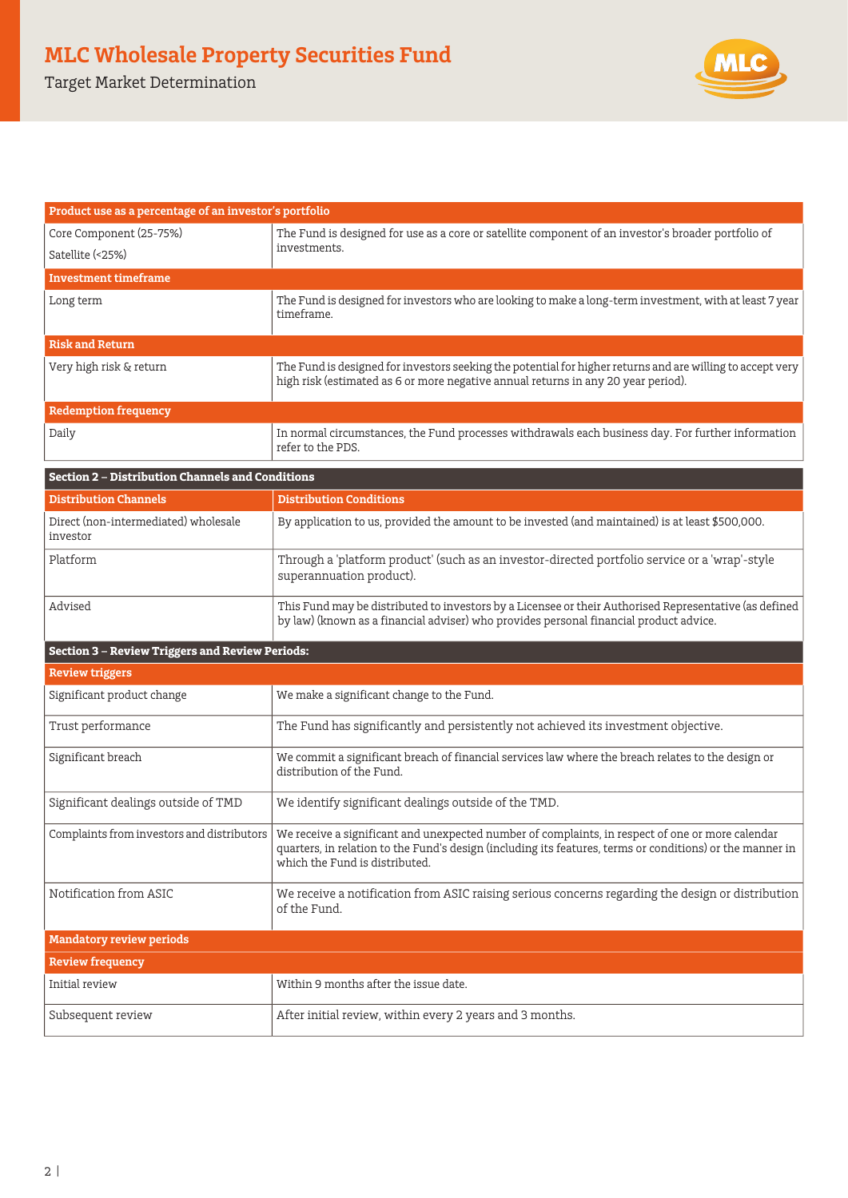## **MLC Wholesale Property Securities Fund**

Target Market Determination



| Product use as a percentage of an investor's portfolio  |                                                                                                                                                                                                                                                 |  |  |
|---------------------------------------------------------|-------------------------------------------------------------------------------------------------------------------------------------------------------------------------------------------------------------------------------------------------|--|--|
| Core Component (25-75%)<br>Satellite (<25%)             | The Fund is designed for use as a core or satellite component of an investor's broader portfolio of<br>investments.                                                                                                                             |  |  |
| <b>Investment timeframe</b>                             |                                                                                                                                                                                                                                                 |  |  |
| Long term                                               | The Fund is designed for investors who are looking to make a long-term investment, with at least 7 year<br>timeframe.                                                                                                                           |  |  |
| <b>Risk and Return</b>                                  |                                                                                                                                                                                                                                                 |  |  |
| Very high risk & return                                 | The Fund is designed for investors seeking the potential for higher returns and are willing to accept very<br>high risk (estimated as 6 or more negative annual returns in any 20 year period).                                                 |  |  |
| <b>Redemption frequency</b>                             |                                                                                                                                                                                                                                                 |  |  |
| Daily                                                   | In normal circumstances, the Fund processes withdrawals each business day. For further information<br>refer to the PDS.                                                                                                                         |  |  |
| <b>Section 2 - Distribution Channels and Conditions</b> |                                                                                                                                                                                                                                                 |  |  |
| <b>Distribution Channels</b>                            | <b>Distribution Conditions</b>                                                                                                                                                                                                                  |  |  |
| Direct (non-intermediated) wholesale<br>investor        | By application to us, provided the amount to be invested (and maintained) is at least \$500,000.                                                                                                                                                |  |  |
| Platform                                                | Through a 'platform product' (such as an investor-directed portfolio service or a 'wrap'-style<br>superannuation product).                                                                                                                      |  |  |
| Advised                                                 | This Fund may be distributed to investors by a Licensee or their Authorised Representative (as defined<br>by law) (known as a financial adviser) who provides personal financial product advice.                                                |  |  |
| <b>Section 3 - Review Triggers and Review Periods:</b>  |                                                                                                                                                                                                                                                 |  |  |
| <b>Review triggers</b>                                  |                                                                                                                                                                                                                                                 |  |  |
| Significant product change                              | We make a significant change to the Fund.                                                                                                                                                                                                       |  |  |
| Trust performance                                       | The Fund has significantly and persistently not achieved its investment objective.                                                                                                                                                              |  |  |
| Significant breach                                      | We commit a significant breach of financial services law where the breach relates to the design or<br>distribution of the Fund.                                                                                                                 |  |  |
| Significant dealings outside of TMD                     | We identify significant dealings outside of the TMD.                                                                                                                                                                                            |  |  |
| Complaints from investors and distributors              | We receive a significant and unexpected number of complaints, in respect of one or more calendar<br>quarters, in relation to the Fund's design (including its features, terms or conditions) or the manner in<br>which the Fund is distributed. |  |  |
| Notification from ASIC                                  | We receive a notification from ASIC raising serious concerns regarding the design or distribution<br>of the Fund.                                                                                                                               |  |  |
| <b>Mandatory review periods</b>                         |                                                                                                                                                                                                                                                 |  |  |
| <b>Review frequency</b>                                 |                                                                                                                                                                                                                                                 |  |  |
| Initial review                                          | Within 9 months after the issue date.                                                                                                                                                                                                           |  |  |
| Subsequent review                                       | After initial review, within every 2 years and 3 months.                                                                                                                                                                                        |  |  |